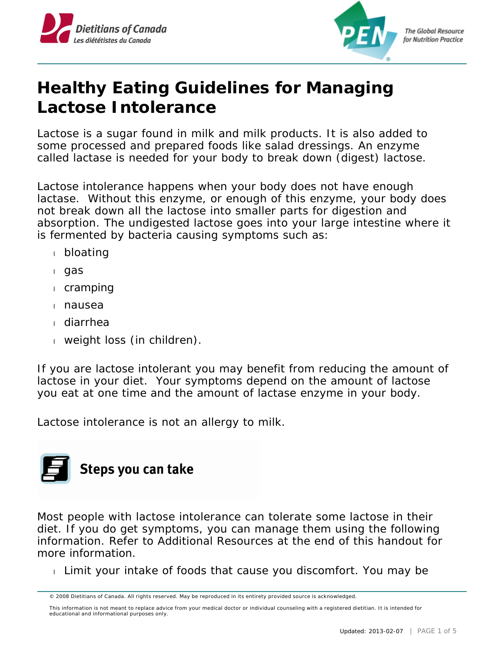



**The Global Resource** for Nutrition Practice

# **Healthy Eating Guidelines for Managing Lactose Intolerance**

Lactose is a sugar found in milk and milk products. It is also added to some processed and prepared foods like salad dressings. An enzyme called lactase is needed for your body to break down (digest) lactose.

Lactose intolerance happens when your body does not have enough lactase. Without this enzyme, or enough of this enzyme, your body does not break down all the lactose into smaller parts for digestion and absorption. The undigested lactose goes into your large intestine where it is fermented by bacteria causing symptoms such as:

- bloating
- gas
- cramping
- nausea
- diarrhea
- weight loss (in children).

If you are lactose intolerant you may benefit from reducing the amount of lactose in your diet. Your symptoms depend on the amount of lactose you eat at one time and the amount of lactase enzyme in your body.

Lactose intolerance is not an allergy to milk.



Most people with lactose intolerance can tolerate some lactose in their diet. If you do get symptoms, you can manage them using the following information. Refer to Additional Resources at the end of this handout for more information.

Limit your intake of foods that cause you discomfort. You may be

<sup>© 2008</sup> Dietitians of Canada. All rights reserved. May be reproduced in its entirety provided source is acknowledged.

This information is not meant to replace advice from your medical doctor or individual counseling with a registered dietitian. It is intended for educational and informational purposes only.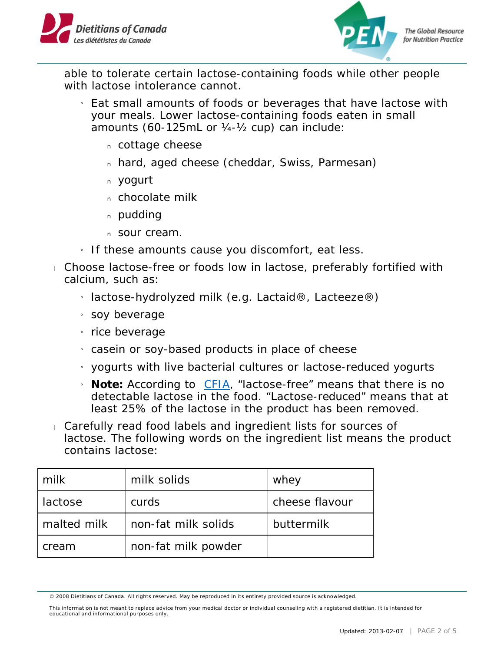



**The Global Resource** for Nutrition Practice

able to tolerate certain lactose-containing foods while other people with lactose intolerance cannot.

- » Eat small amounts of foods or beverages that have lactose with your meals. Lower lactose-containing foods eaten in small amounts (60-125mL or ¼-½ cup) can include:
	- n cottage cheese
	- n hard, aged cheese (cheddar, Swiss, Parmesan)
	- yogurt
	- n chocolate milk
	- n pudding
	- n Sour cream.
- » If these amounts cause you discomfort, eat less.
- Choose lactose-free or foods low in lactose, preferably fortified with calcium, such as:
	- » lactose-hydrolyzed milk (e.g. Lactaid®, Lacteeze®)
	- $\frac{1}{1}$  soy beverage
	- » rice beverage
	- $_1$  casein or soy-based products in place of cheese
	- » yogurts with live bacterial cultures or lactose-reduced yogurts
	- <sup>1</sup> Note: According to *[CFIA](http://www.inspection.gc.ca/food/labelling/food-labelling-for-industry/composition-and-quality-claims/eng/1391025998183/1391026062752?chap=2#s7c2)*, "lactose-free" means that there is no detectable lactose in the food. "Lactose-reduced" means that at least 25% of the lactose in the product has been removed.
- Carefully read food labels and ingredient lists for sources of lactose. The following words on the ingredient list means the product contains lactose:

| milk        | milk solids         | whey           |
|-------------|---------------------|----------------|
| lactose     | curds               | cheese flavour |
| malted milk | non-fat milk solids | buttermilk     |
| cream       | non-fat milk powder |                |

<sup>© 2008</sup> Dietitians of Canada. All rights reserved. May be reproduced in its entirety provided source is acknowledged.

This information is not meant to replace advice from your medical doctor or individual counseling with a registered dietitian. It is intended for educational and informational purposes only.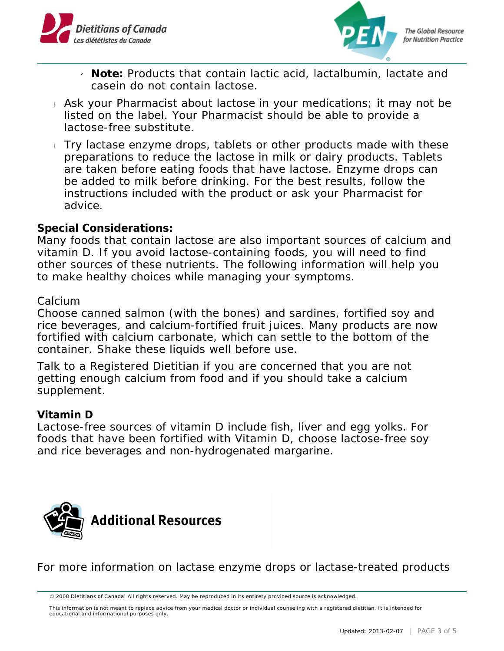



- » **Note:** Products that contain lactic acid, lactalbumin, lactate and casein do not contain lactose.
- Ask your Pharmacist about lactose in your medications; it may not be listed on the label. Your Pharmacist should be able to provide a lactose-free substitute.
- Try lactase enzyme drops, tablets or other products made with these preparations to reduce the lactose in milk or dairy products. Tablets are taken before eating foods that have lactose. Enzyme drops can be added to milk before drinking. For the best results, follow the instructions included with the product or ask your Pharmacist for advice.

## **Special Considerations:**

Many foods that contain lactose are also important sources of calcium and vitamin D. If you avoid lactose-containing foods, you will need to find other sources of these nutrients. The following information will help you to make healthy choices while managing your symptoms.

#### Calcium

Choose canned salmon (with the bones) and sardines, fortified soy and rice beverages, and calcium-fortified fruit juices. Many products are now fortified with calcium carbonate, which can settle to the bottom of the container. Shake these liquids well before use.

Talk to a Registered Dietitian if you are concerned that you are not getting enough calcium from food and if you should take a calcium supplement.

#### **Vitamin D**

Lactose-free sources of vitamin D include fish, liver and egg yolks. For foods that have been fortified with Vitamin D, choose lactose-free soy and rice beverages and non-hydrogenated margarine.



For more information on lactase enzyme drops or lactase-treated products

This information is not meant to replace advice from your medical doctor or individual counseling with a registered dietitian. It is intended for educational and informational purposes only.

<sup>© 2008</sup> Dietitians of Canada. All rights reserved. May be reproduced in its entirety provided source is acknowledged.